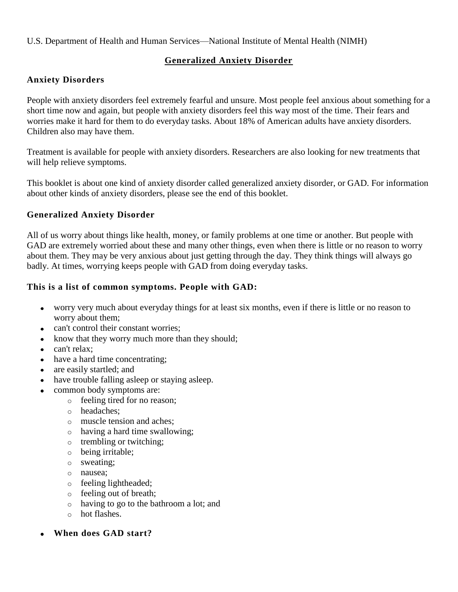## U.S. Department of Health and Human Services—National Institute of Mental Health (NIMH)

# **Generalized Anxiety Disorder**

## **Anxiety Disorders**

People with anxiety disorders feel extremely fearful and unsure. Most people feel anxious about something for a short time now and again, but people with anxiety disorders feel this way most of the time. Their fears and worries make it hard for them to do everyday tasks. About 18% of American adults have anxiety disorders. Children also may have them.

Treatment is available for people with anxiety disorders. Researchers are also looking for new treatments that will help relieve symptoms.

This booklet is about one kind of anxiety disorder called generalized anxiety disorder, or GAD. For information about other kinds of anxiety disorders, please see the end of this booklet.

### **Generalized Anxiety Disorder**

All of us worry about things like health, money, or family problems at one time or another. But people with GAD are extremely worried about these and many other things, even when there is little or no reason to worry about them. They may be very anxious about just getting through the day. They think things will always go badly. At times, worrying keeps people with GAD from doing everyday tasks.

### **This is a list of common symptoms. People with GAD:**

- worry very much about everyday things for at least six months, even if there is little or no reason to worry about them;
- can't control their constant worries;
- know that they worry much more than they should;
- can't relax;
- $\bullet$ have a hard time concentrating;
- are easily startled; and
- have trouble falling asleep or staying asleep.
	- common body symptoms are:
		- o feeling tired for no reason;
		- o headaches;
		- o muscle tension and aches;
		- o having a hard time swallowing;
		- o trembling or twitching;
		- o being irritable;
		- o sweating;
		- o nausea;
		- o feeling lightheaded;
		- o feeling out of breath;
		- o having to go to the bathroom a lot; and
		- o hot flashes.
- **When does GAD start?**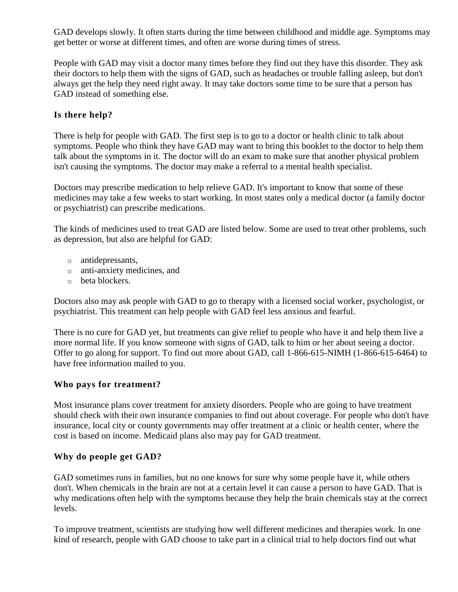GAD develops slowly. It often starts during the time between childhood and middle age. Symptoms may get better or worse at different times, and often are worse during times of stress.

People with GAD may visit a doctor many times before they find out they have this disorder. They ask their doctors to help them with the signs of GAD, such as headaches or trouble falling asleep, but don't always get the help they need right away. It may take doctors some time to be sure that a person has GAD instead of something else.

## **Is there help?**

There is help for people with GAD. The first step is to go to a doctor or health clinic to talk about symptoms. People who think they have GAD may want to bring this booklet to the doctor to help them talk about the symptoms in it. The doctor will do an exam to make sure that another physical problem isn't causing the symptoms. The doctor may make a referral to a mental health specialist.

Doctors may prescribe medication to help relieve GAD. It's important to know that some of these medicines may take a few weeks to start working. In most states only a medical doctor (a family doctor or psychiatrist) can prescribe medications.

The kinds of medicines used to treat GAD are listed below. Some are used to treat other problems, such as depression, but also are helpful for GAD:

- o antidepressants,
- o anti-anxiety medicines, and
- o beta blockers.

Doctors also may ask people with GAD to go to therapy with a licensed social worker, psychologist, or psychiatrist. This treatment can help people with GAD feel less anxious and fearful.

There is no cure for GAD yet, but treatments can give relief to people who have it and help them live a more normal life. If you know someone with signs of GAD, talk to him or her about seeing a doctor. Offer to go along for support. To find out more about GAD, call 1-866-615-NIMH (1-866-615-6464) to have free information mailed to you.

### **Who pays for treatment?**

Most insurance plans cover treatment for anxiety disorders. People who are going to have treatment should check with their own insurance companies to find out about coverage. For people who don't have insurance, local city or county governments may offer treatment at a clinic or health center, where the cost is based on income. Medicaid plans also may pay for GAD treatment.

#### **Why do people get GAD?**

GAD sometimes runs in families, but no one knows for sure why some people have it, while others don't. When chemicals in the brain are not at a certain level it can cause a person to have GAD. That is why medications often help with the symptoms because they help the brain chemicals stay at the correct levels.

To improve treatment, scientists are studying how well different medicines and therapies work. In one kind of research, people with GAD choose to take part in a clinical trial to help doctors find out what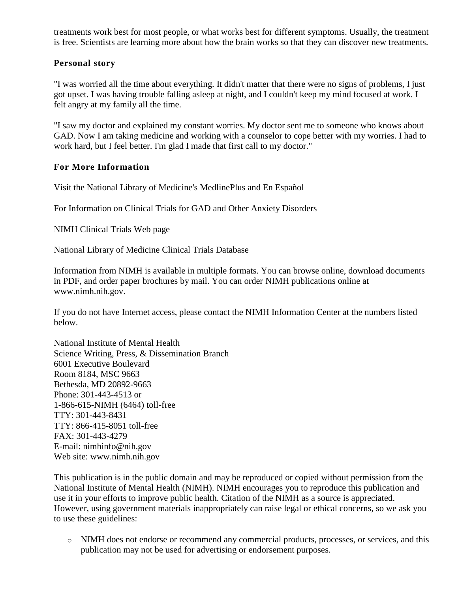treatments work best for most people, or what works best for different symptoms. Usually, the treatment is free. Scientists are learning more about how the brain works so that they can discover new treatments.

## **Personal story**

"I was worried all the time about everything. It didn't matter that there were no signs of problems, I just got upset. I was having trouble falling asleep at night, and I couldn't keep my mind focused at work. I felt angry at my family all the time.

"I saw my doctor and explained my constant worries. My doctor sent me to someone who knows about GAD. Now I am taking medicine and working with a counselor to cope better with my worries. I had to work hard, but I feel better. I'm glad I made that first call to my doctor."

## **For More Information**

Visit the National Library of Medicine's [MedlinePlus](http://www.nlm.nih.gov/medlineplus) and [En Español](http://medlineplus.gov/spanish)

For Information on Clinical Trials for GAD and Other Anxiety Disorders

[NIMH Clinical Trials Web page](http://www.nimh.nih.gov/health/trials/)

National Library of Medicine [Clinical Trials Database](http://www.clinicaltrials.gov/)

Information from NIMH is available in multiple formats. You can browse online, download documents in PDF, and order paper brochures by mail. You can order NIMH publications online at [www.nimh.nih.gov.](http://www.nimh.nih.gov/)

If you do not have Internet access, please contact the NIMH Information Center at the numbers listed below.

National Institute of Mental Health Science Writing, Press, & Dissemination Branch 6001 Executive Boulevard Room 8184, MSC 9663 Bethesda, MD 20892-9663 Phone: 301-443-4513 or 1-866-615-NIMH (6464) toll-free TTY: 301-443-8431 TTY: 866-415-8051 toll-free FAX: 301-443-4279 E-mail: [nimhinfo@nih.gov](mailto:nimhinfo@nih.gov) Web site: [www.nimh.nih.gov](http://www.nimh.nih.gov/)

This publication is in the public domain and may be reproduced or copied without permission from the National Institute of Mental Health (NIMH). NIMH encourages you to reproduce this publication and use it in your efforts to improve public health. Citation of the NIMH as a source is appreciated. However, using government materials inappropriately can raise legal or ethical concerns, so we ask you to use these guidelines:

o NIMH does not endorse or recommend any commercial products, processes, or services, and this publication may not be used for advertising or endorsement purposes.